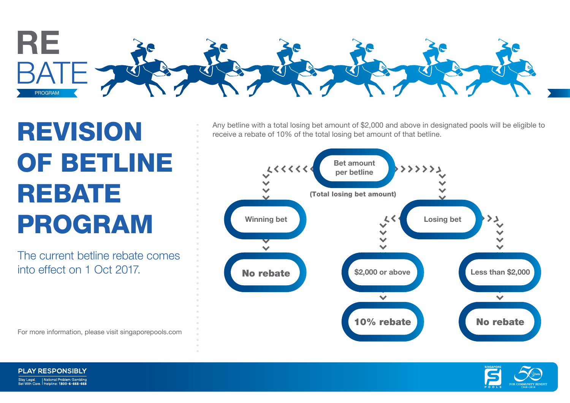

## REVISION OF BETLINE REBATE PROGRAM

The current betline rebate comes into effect on 1 Oct 2017.

For more information, please visit singaporepools.com

Any betline with a total losing bet amount of \$2,000 and above in designated pools will be eligible to receive a rebate of 10% of the total losing bet amount of that betline.





**PLAY RESPONSIBLY** Stay Legal. | National Problem Gambling<br>| Ret With Care | Helpline: 1800-6-668-668